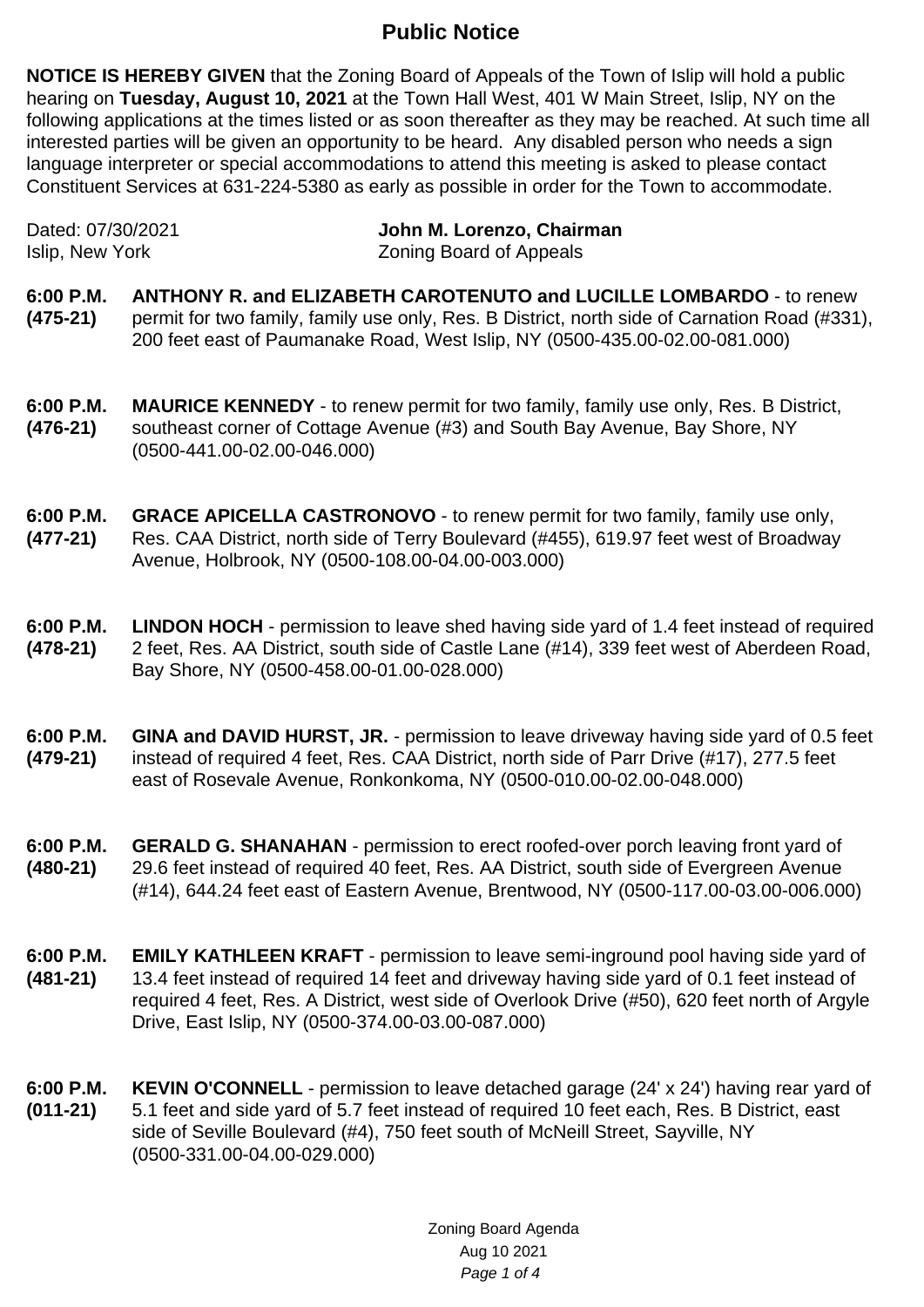## **Public Notice**

**NOTICE IS HEREBY GIVEN** that the Zoning Board of Appeals of the Town of Islip will hold a public hearing on **Tuesday, August 10, 2021** at the Town Hall West, 401 W Main Street, Islip, NY on the following applications at the times listed or as soon thereafter as they may be reached. At such time all interested parties will be given an opportunity to be heard. Any disabled person who needs a sign language interpreter or special accommodations to attend this meeting is asked to please contact Constituent Services at 631-224-5380 as early as possible in order for the Town to accommodate.

Dated: 07/30/2021 **John M. Lorenzo, Chairman** Islip, New York **Zoning Board of Appeals** 

**6:00 P.M. ANTHONY R. and ELIZABETH CAROTENUTO and LUCILLE LOMBARDO** - to renew

**(475-21)** permit for two family, family use only, Res. B District, north side of Carnation Road (#331), 200 feet east of Paumanake Road, West Islip, NY (0500-435.00-02.00-081.000)

**6:00 P.M. (476-21) MAURICE KENNEDY** - to renew permit for two family, family use only, Res. B District, southeast corner of Cottage Avenue (#3) and South Bay Avenue, Bay Shore, NY (0500-441.00-02.00-046.000)

- **6:00 P.M. (477-21) GRACE APICELLA CASTRONOVO** - to renew permit for two family, family use only, Res. CAA District, north side of Terry Boulevard (#455), 619.97 feet west of Broadway Avenue, Holbrook, NY (0500-108.00-04.00-003.000)
- **6:00 P.M. (478-21) LINDON HOCH** - permission to leave shed having side yard of 1.4 feet instead of required 2 feet, Res. AA District, south side of Castle Lane (#14), 339 feet west of Aberdeen Road, Bay Shore, NY (0500-458.00-01.00-028.000)
- **6:00 P.M. (479-21) GINA and DAVID HURST, JR.** - permission to leave driveway having side yard of 0.5 feet instead of required 4 feet, Res. CAA District, north side of Parr Drive (#17), 277.5 feet east of Rosevale Avenue, Ronkonkoma, NY (0500-010.00-02.00-048.000)
- **6:00 P.M. (480-21) GERALD G. SHANAHAN** - permission to erect roofed-over porch leaving front yard of 29.6 feet instead of required 40 feet, Res. AA District, south side of Evergreen Avenue (#14), 644.24 feet east of Eastern Avenue, Brentwood, NY (0500-117.00-03.00-006.000)
- **6:00 P.M. (481-21) EMILY KATHLEEN KRAFT** - permission to leave semi-inground pool having side yard of 13.4 feet instead of required 14 feet and driveway having side yard of 0.1 feet instead of required 4 feet, Res. A District, west side of Overlook Drive (#50), 620 feet north of Argyle Drive, East Islip, NY (0500-374.00-03.00-087.000)
- **6:00 P.M. (011-21) KEVIN O'CONNELL** - permission to leave detached garage (24' x 24') having rear yard of 5.1 feet and side yard of 5.7 feet instead of required 10 feet each, Res. B District, east side of Seville Boulevard (#4), 750 feet south of McNeill Street, Sayville, NY (0500-331.00-04.00-029.000)

Zoning Board Agenda Aug 10 2021 Page 1 of 4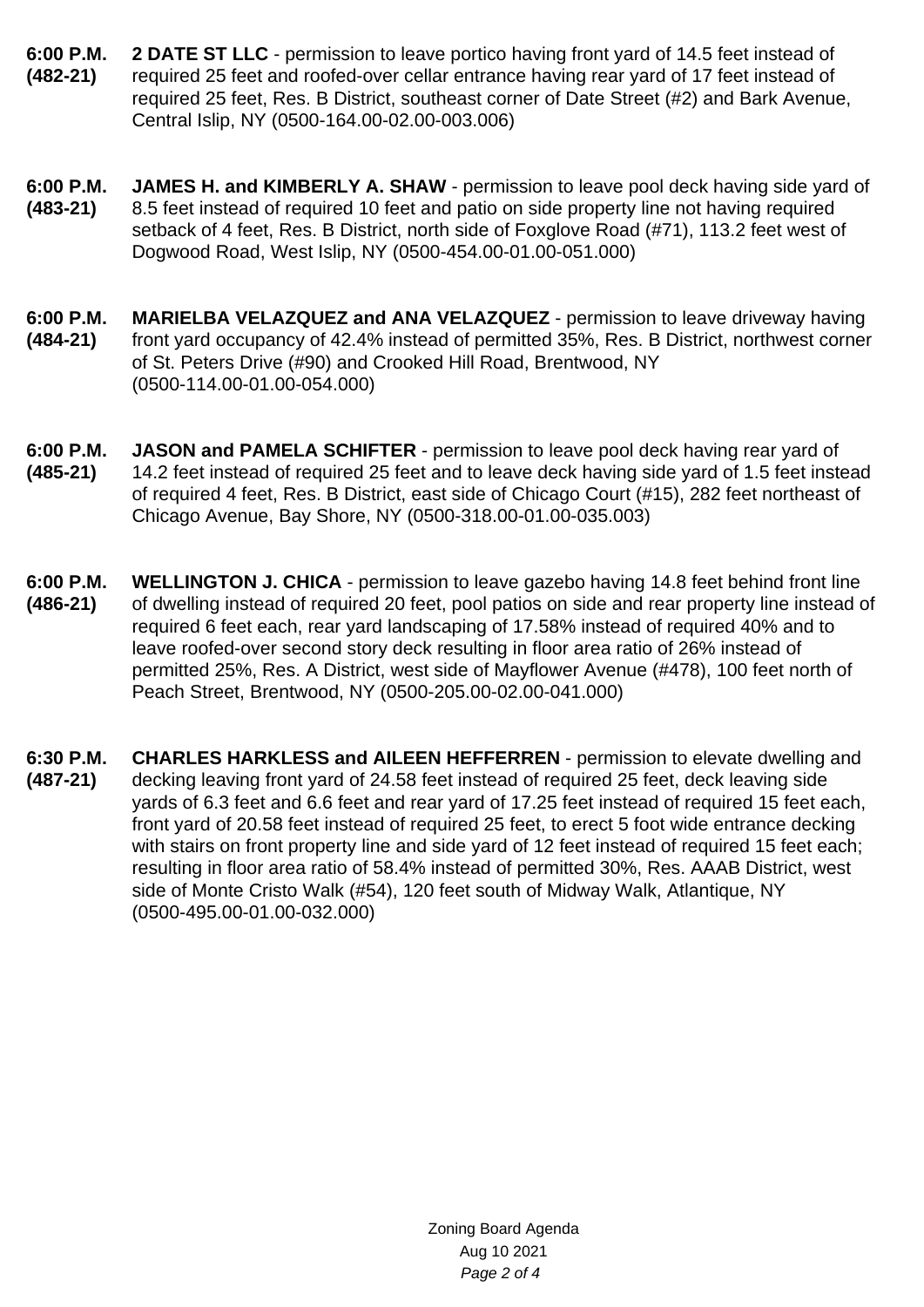- **6:00 P.M. (482-21) 2 DATE ST LLC** - permission to leave portico having front yard of 14.5 feet instead of required 25 feet and roofed-over cellar entrance having rear yard of 17 feet instead of required 25 feet, Res. B District, southeast corner of Date Street (#2) and Bark Avenue, Central Islip, NY (0500-164.00-02.00-003.006)
- **6:00 P.M. (483-21) JAMES H. and KIMBERLY A. SHAW** - permission to leave pool deck having side yard of 8.5 feet instead of required 10 feet and patio on side property line not having required setback of 4 feet, Res. B District, north side of Foxglove Road (#71), 113.2 feet west of Dogwood Road, West Islip, NY (0500-454.00-01.00-051.000)
- **6:00 P.M. (484-21) MARIELBA VELAZQUEZ and ANA VELAZQUEZ** - permission to leave driveway having front yard occupancy of 42.4% instead of permitted 35%, Res. B District, northwest corner of St. Peters Drive (#90) and Crooked Hill Road, Brentwood, NY (0500-114.00-01.00-054.000)
- **6:00 P.M. (485-21) JASON and PAMELA SCHIFTER** - permission to leave pool deck having rear yard of 14.2 feet instead of required 25 feet and to leave deck having side yard of 1.5 feet instead of required 4 feet, Res. B District, east side of Chicago Court (#15), 282 feet northeast of Chicago Avenue, Bay Shore, NY (0500-318.00-01.00-035.003)
- **6:00 P.M. (486-21) WELLINGTON J. CHICA** - permission to leave gazebo having 14.8 feet behind front line of dwelling instead of required 20 feet, pool patios on side and rear property line instead of required 6 feet each, rear yard landscaping of 17.58% instead of required 40% and to leave roofed-over second story deck resulting in floor area ratio of 26% instead of permitted 25%, Res. A District, west side of Mayflower Avenue (#478), 100 feet north of Peach Street, Brentwood, NY (0500-205.00-02.00-041.000)
- **6:30 P.M. (487-21) CHARLES HARKLESS and AILEEN HEFFERREN** - permission to elevate dwelling and decking leaving front yard of 24.58 feet instead of required 25 feet, deck leaving side yards of 6.3 feet and 6.6 feet and rear yard of 17.25 feet instead of required 15 feet each, front yard of 20.58 feet instead of required 25 feet, to erect 5 foot wide entrance decking with stairs on front property line and side yard of 12 feet instead of required 15 feet each; resulting in floor area ratio of 58.4% instead of permitted 30%, Res. AAAB District, west side of Monte Cristo Walk (#54), 120 feet south of Midway Walk, Atlantique, NY (0500-495.00-01.00-032.000)

Zoning Board Agenda Aug 10 2021 Page 2 of 4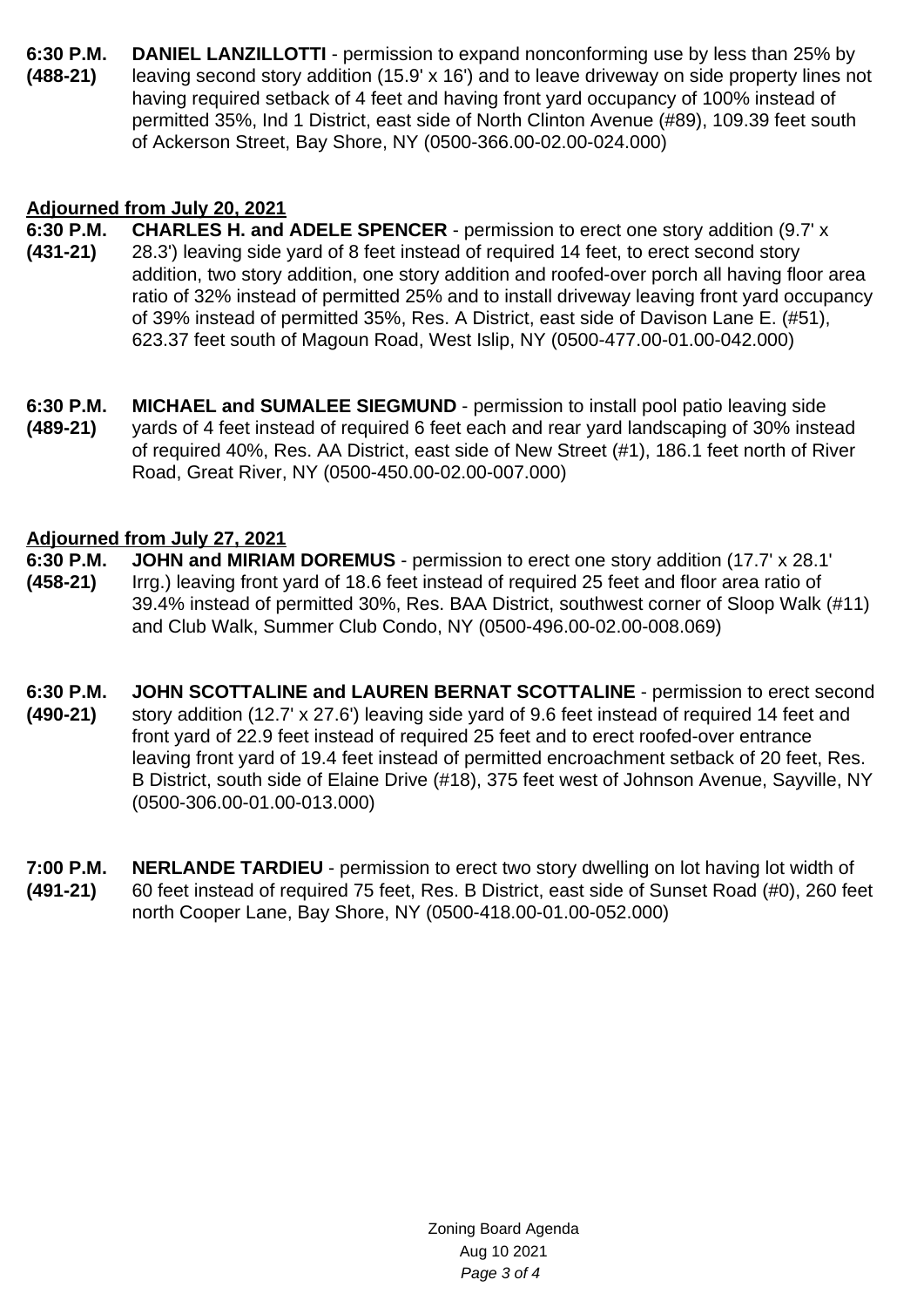**6:30 P.M. (488-21) DANIEL LANZILLOTTI** - permission to expand nonconforming use by less than 25% by leaving second story addition (15.9' x 16') and to leave driveway on side property lines not having required setback of 4 feet and having front yard occupancy of 100% instead of permitted 35%, Ind 1 District, east side of North Clinton Avenue (#89), 109.39 feet south of Ackerson Street, Bay Shore, NY (0500-366.00-02.00-024.000)

## **Adjourned from July 20, 2021**

- **6:30 P.M. (431-21) CHARLES H. and ADELE SPENCER** - permission to erect one story addition (9.7' x 28.3') leaving side yard of 8 feet instead of required 14 feet, to erect second story addition, two story addition, one story addition and roofed-over porch all having floor area ratio of 32% instead of permitted 25% and to install driveway leaving front yard occupancy of 39% instead of permitted 35%, Res. A District, east side of Davison Lane E. (#51), 623.37 feet south of Magoun Road, West Islip, NY (0500-477.00-01.00-042.000)
- **6:30 P.M. (489-21) MICHAEL and SUMALEE SIEGMUND** - permission to install pool patio leaving side yards of 4 feet instead of required 6 feet each and rear yard landscaping of 30% instead of required 40%, Res. AA District, east side of New Street (#1), 186.1 feet north of River Road, Great River, NY (0500-450.00-02.00-007.000)

## **Adjourned from July 27, 2021**

- **6:30 P.M. (458-21) JOHN and MIRIAM DOREMUS** - permission to erect one story addition (17.7' x 28.1' Irrg.) leaving front yard of 18.6 feet instead of required 25 feet and floor area ratio of 39.4% instead of permitted 30%, Res. BAA District, southwest corner of Sloop Walk (#11) and Club Walk, Summer Club Condo, NY (0500-496.00-02.00-008.069)
- **6:30 P.M. (490-21) JOHN SCOTTALINE and LAUREN BERNAT SCOTTALINE** - permission to erect second story addition (12.7' x 27.6') leaving side yard of 9.6 feet instead of required 14 feet and front yard of 22.9 feet instead of required 25 feet and to erect roofed-over entrance leaving front yard of 19.4 feet instead of permitted encroachment setback of 20 feet, Res. B District, south side of Elaine Drive (#18), 375 feet west of Johnson Avenue, Sayville, NY (0500-306.00-01.00-013.000)
- **7:00 P.M. (491-21) NERLANDE TARDIEU** - permission to erect two story dwelling on lot having lot width of 60 feet instead of required 75 feet, Res. B District, east side of Sunset Road (#0), 260 feet north Cooper Lane, Bay Shore, NY (0500-418.00-01.00-052.000)

Zoning Board Agenda Aug 10 2021 Page 3 of 4